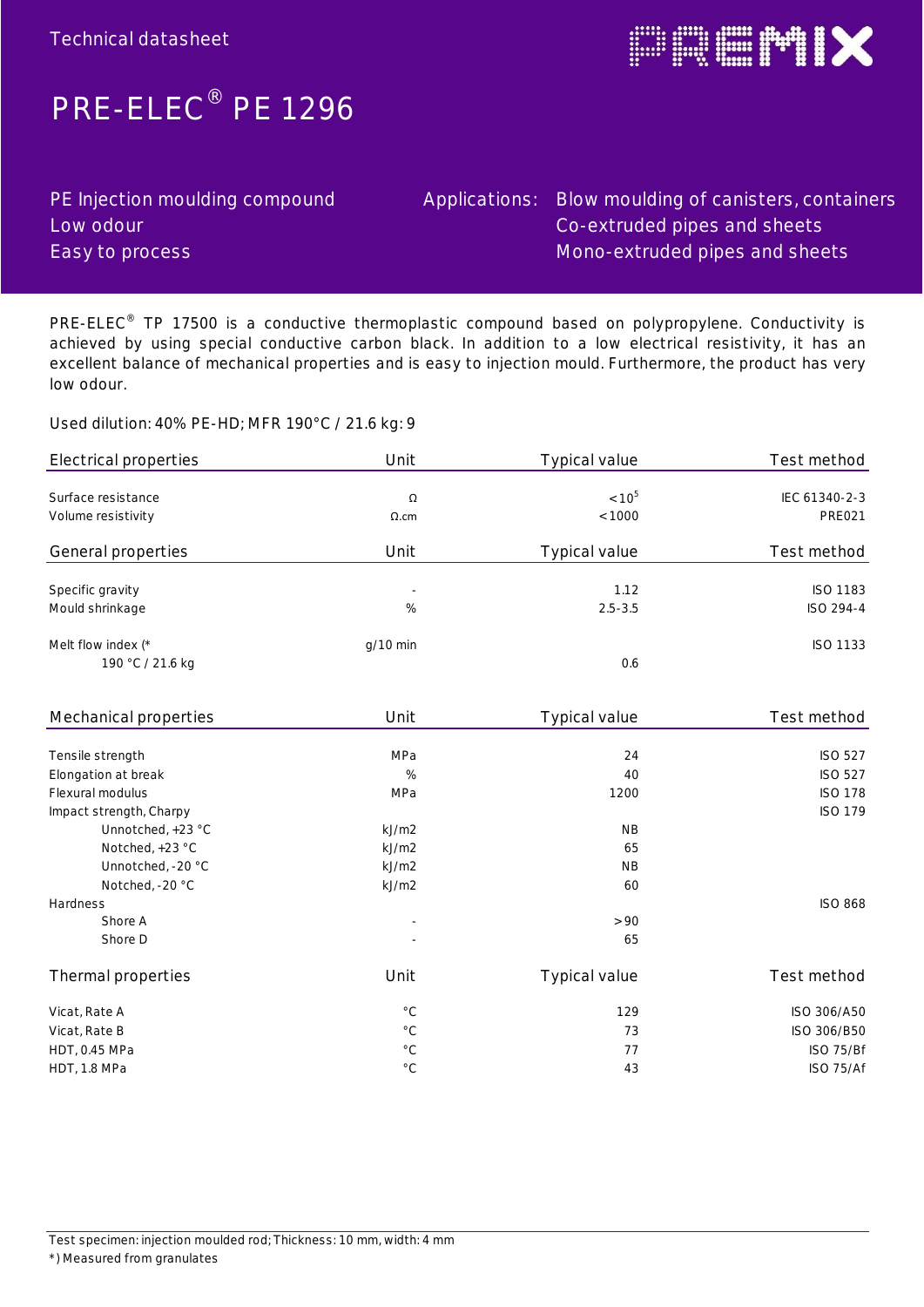

## **PRE-ELEC® PE 1296**

| PE Injection moulding compound |
|--------------------------------|
| Low odour                      |
| Easy to process                |

### Applications: Blow moulding of canisters, containers Co-extruded pipes and sheets Mono-extruded pipes and sheets

**PRE-ELEC® TP 17500 is a conductive thermoplastic compound based on polypropylene. Conductivity is achieved by using special conductive carbon black. In addition to a low electrical resistivity, it has an excellent balance of mechanical properties and is easy to injection mould. Furthermore, the product has very low odour.**

**Used dilution: 40% PE-HD; MFR 190°C / 21.6 kg: 9**

| Electrical properties | Unit                     | Typical value | Test method     |
|-----------------------|--------------------------|---------------|-----------------|
|                       |                          |               |                 |
| Surface resistance    | Ω                        | $< 10^{5}$    | IEC 61340-2-3   |
| Volume resistivity    | $\Omega$ .cm             | < 1000        | <b>PRE021</b>   |
| General properties    | Unit                     | Typical value | Test method     |
| Specific gravity      | $\overline{\phantom{a}}$ | 1.12          | <b>ISO 1183</b> |
| Mould shrinkage       | %                        | $2.5 - 3.5$   | ISO 294-4       |
| Melt flow index $(*$  | $q/10$ min               |               | ISO 1133        |
| 190 °C / 21.6 kg      |                          | 0.6           |                 |

| Mechanical properties                           | Unit                     | Typical value | Test method    |
|-------------------------------------------------|--------------------------|---------------|----------------|
|                                                 |                          |               |                |
| Tensile strength                                | MPa                      | 24            | <b>ISO 527</b> |
| Elongation at break                             | %                        | 40            | <b>ISO 527</b> |
| Flexural modulus                                | MPa                      | 1200          | <b>ISO 178</b> |
| Impact strength, Charpy                         |                          |               | <b>ISO 179</b> |
| Unnotched, +23 °C                               | kJ/m2                    | <b>NB</b>     |                |
| Notched, +23 °C                                 | kJ/m2                    | 65            |                |
| Unnotched, -20 °C                               | kJ/m2                    | <b>NB</b>     |                |
| Notched, -20 °C                                 | kJ/m2                    | 60            |                |
| <b>Hardness</b>                                 |                          |               | <b>ISO 868</b> |
| Shore A                                         | $\overline{\phantom{a}}$ | > 90          |                |
| Shore D                                         | $\sim$                   | 65            |                |
| Thermal properties                              | Unit                     | Typical value | Test method    |
|                                                 | $^{\circ}$ C             | 129           | ISO 306/A50    |
|                                                 | $^{\circ}$ C             | 73            | ISO 306/B50    |
|                                                 | $^{\circ}$ C             | 77            | ISO 75/Bf      |
| HDT, 1.8 MPa                                    | $^{\circ} \mathbb{C}$    | 43            | ISO 75/Af      |
| Vicat, Rate A<br>Vicat, Rate B<br>HDT, 0.45 MPa |                          |               |                |